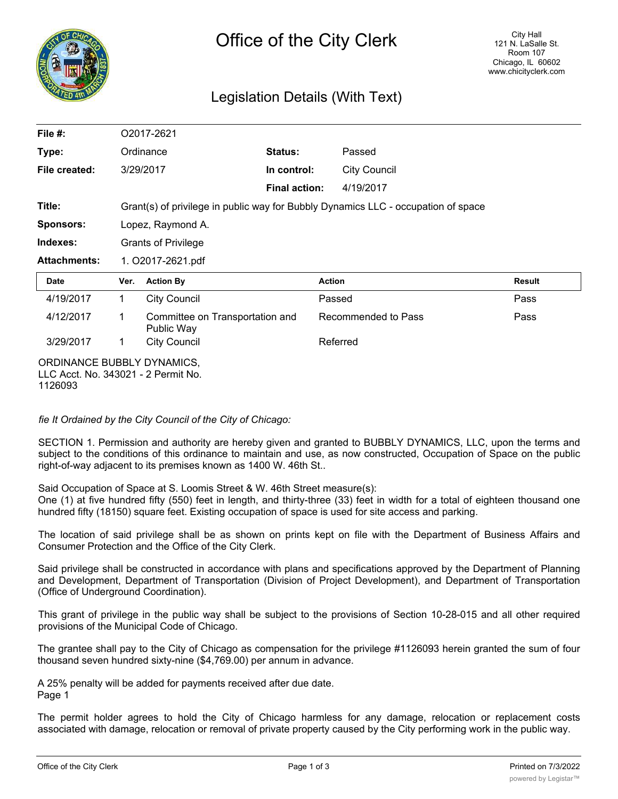

# Legislation Details (With Text)

| File $#$ :                                                        | O2017-2621                                                                        |                                               |                      |                     |        |
|-------------------------------------------------------------------|-----------------------------------------------------------------------------------|-----------------------------------------------|----------------------|---------------------|--------|
| Type:                                                             |                                                                                   | Ordinance                                     | <b>Status:</b>       | Passed              |        |
| File created:                                                     |                                                                                   | 3/29/2017                                     | In control:          | <b>City Council</b> |        |
|                                                                   |                                                                                   |                                               | <b>Final action:</b> | 4/19/2017           |        |
| Title:                                                            | Grant(s) of privilege in public way for Bubbly Dynamics LLC - occupation of space |                                               |                      |                     |        |
| <b>Sponsors:</b>                                                  | Lopez, Raymond A.                                                                 |                                               |                      |                     |        |
| Indexes:                                                          | <b>Grants of Privilege</b>                                                        |                                               |                      |                     |        |
| <b>Attachments:</b>                                               | 1. O2017-2621.pdf                                                                 |                                               |                      |                     |        |
| <b>Date</b>                                                       | Ver.                                                                              | <b>Action By</b>                              |                      | <b>Action</b>       | Result |
| 4/19/2017                                                         | $\mathbf{1}$                                                                      | <b>City Council</b>                           |                      | Passed              | Pass   |
| 4/12/2017                                                         | 1                                                                                 | Committee on Transportation and<br>Public Way |                      | Recommended to Pass | Pass   |
| 3/29/2017                                                         | 1                                                                                 | <b>City Council</b>                           |                      | Referred            |        |
| ORDINANCE BUBBLY DYNAMICS,<br>LLC Acct. No. 343021 - 2 Permit No. |                                                                                   |                                               |                      |                     |        |

*fie It Ordained by the City Council of the City of Chicago:*

SECTION 1. Permission and authority are hereby given and granted to BUBBLY DYNAMICS, LLC, upon the terms and subject to the conditions of this ordinance to maintain and use, as now constructed, Occupation of Space on the public right-of-way adjacent to its premises known as 1400 W. 46th St..

Said Occupation of Space at S. Loomis Street & W. 46th Street measure(s):

One (1) at five hundred fifty (550) feet in length, and thirty-three (33) feet in width for a total of eighteen thousand one hundred fifty (18150) square feet. Existing occupation of space is used for site access and parking.

The location of said privilege shall be as shown on prints kept on file with the Department of Business Affairs and Consumer Protection and the Office of the City Clerk.

Said privilege shall be constructed in accordance with plans and specifications approved by the Department of Planning and Development, Department of Transportation (Division of Project Development), and Department of Transportation (Office of Underground Coordination).

This grant of privilege in the public way shall be subject to the provisions of Section 10-28-015 and all other required provisions of the Municipal Code of Chicago.

The grantee shall pay to the City of Chicago as compensation for the privilege #1126093 herein granted the sum of four thousand seven hundred sixty-nine (\$4,769.00) per annum in advance.

A 25% penalty will be added for payments received after due date. Page 1

The permit holder agrees to hold the City of Chicago harmless for any damage, relocation or replacement costs associated with damage, relocation or removal of private property caused by the City performing work in the public way.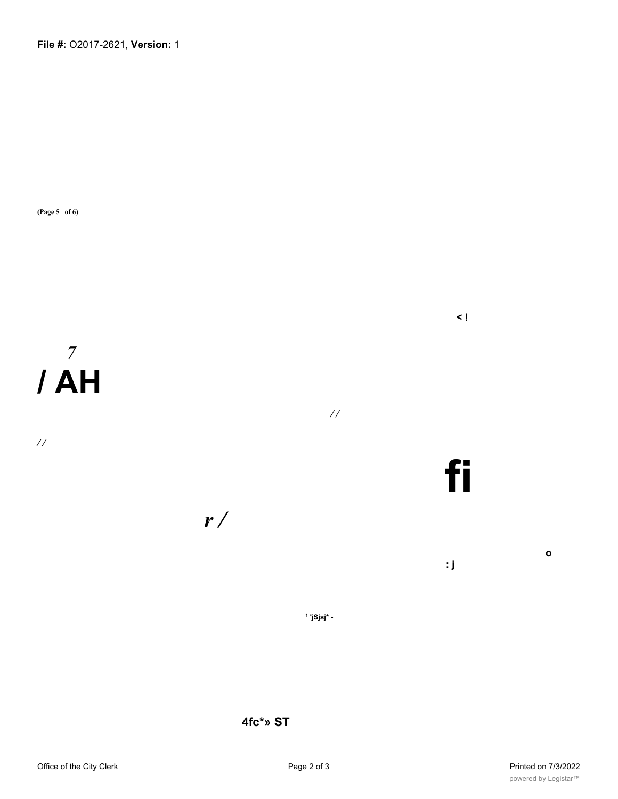**(Page 5 of 6)**

*7* **/ AH**

*/ /*

*/ / r /*

**1 'jSjsj\* -**

**4fc\*» ST**

**o**

**< !**

**fi**

**: j**